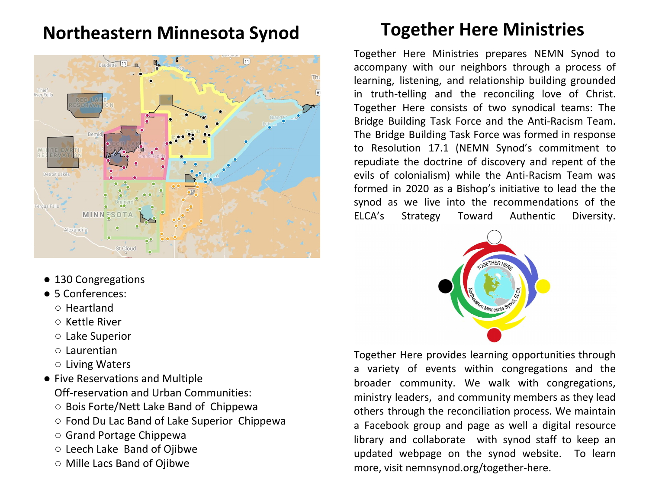## **Northeastern Minnesota Synod**



- 130 Congregations
- 5 Conferences:
	- Heartland
	- Kettle River
	- Lake Superior
	- Laurentian
	- Living Waters
- Five Reservations and Multiple Off-reservation and Urban Communities:
	- Bois Forte/Nett Lake Band of Chippewa
	- Fond Du Lac Band of Lake Superior Chippewa
	- Grand Portage Chippewa
	- Leech Lake Band of Ojibwe
	- Mille Lacs Band of Ojibwe

# **Together Here Ministries**

Together Here Ministries prepares NEMN Synod to accompany with our neighbors through a process of learning, listening, and relationship building grounded in truth-telling and the reconciling love of Christ. Together Here consists of two synodical teams: The Bridge Building Task Force and the Anti-Racism Team. The Bridge Building Task Force was formed in response to Resolution 17.1 (NEMN Synod's commitment to repudiate the doctrine of discovery and repent of the evils of colonialism) while the Anti-Racism Team was formed in 2020 as a Bishop's initiative to lead the the synod as we live into the recommendations of the ELCA's Strategy Toward Authentic Diversity.



Together Here provides learning opportunities through a variety of events within congregations and the broader community. We walk with congregations, ministry leaders, and community members as they lead others through the reconciliation process. We maintain a Facebook group and page as well a digital resource library and collaborate with synod staff to keep an updated webpage on the synod website. To learn more, visit nemnsynod.org/together-here.